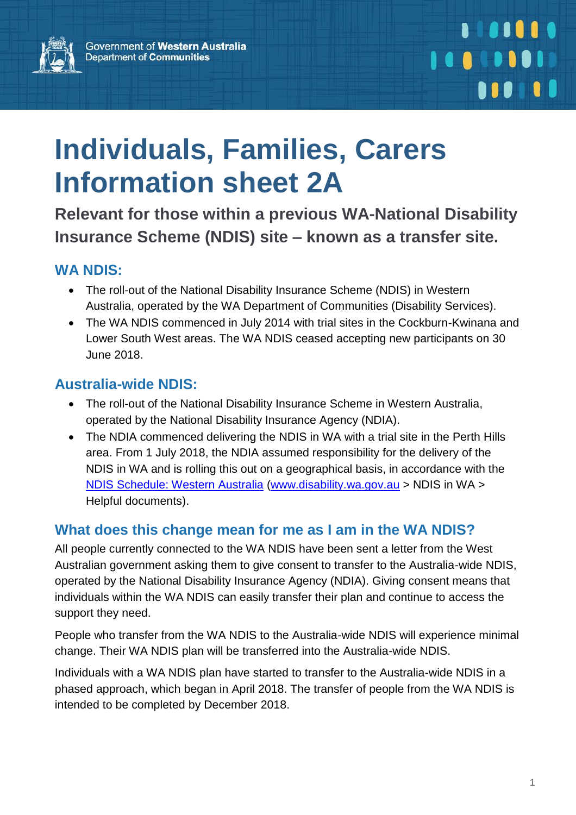

# **Individuals, Families, Carers Information sheet 2A**

**Relevant for those within a previous WA-National Disability Insurance Scheme (NDIS) site – known as a transfer site.**

#### **WA NDIS:**

- The roll-out of the National Disability Insurance Scheme (NDIS) in Western Australia, operated by the WA Department of Communities (Disability Services).
- The WA NDIS commenced in July 2014 with trial sites in the Cockburn-Kwinana and Lower South West areas. The WA NDIS ceased accepting new participants on 30 June 2018.

#### **Australia-wide NDIS:**

- The roll-out of the National Disability Insurance Scheme in Western Australia, operated by the National Disability Insurance Agency (NDIA).
- The NDIA commenced delivering the NDIS in WA with a trial site in the Perth Hills area. From 1 July 2018, the NDIA assumed responsibility for the delivery of the NDIS in WA and is rolling this out on a geographical basis, in accordance with the [NDIS Schedule: Western Australia](http://www.disability.wa.gov.au/wa-ndis/wa-ndis/helpful-documents/) [\(www.disability.wa.gov.au](http://www.disability.wa.gov.au/) > NDIS in WA > Helpful documents).

#### **[What does this change mean for me as I am in the WA NDIS?](https://www.ndis.gov.au/about-us/our-sites/WA/qanda.html)**

All people currently connected to the WA NDIS have been sent a letter from the West Australian government asking them to give consent to transfer to the Australia-wide NDIS, operated by the National Disability Insurance Agency (NDIA). Giving consent means that individuals within the WA NDIS can easily transfer their plan and continue to access the support they need.

People who transfer from the WA NDIS to the Australia-wide NDIS will experience minimal change. Their WA NDIS plan will be transferred into the Australia-wide NDIS.

Individuals with a WA NDIS plan have started to transfer to the Australia-wide NDIS in a phased approach, which began in April 2018. The transfer of people from the WA NDIS is intended to be completed by December 2018.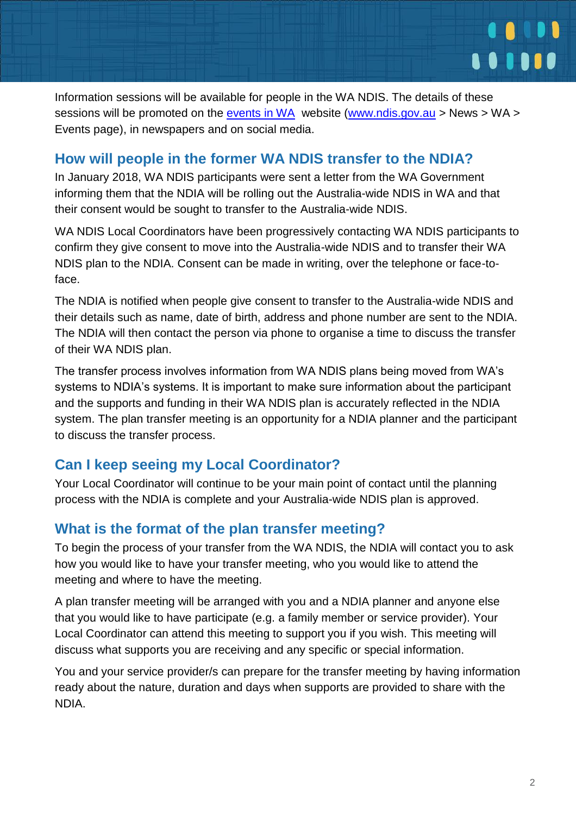

Information sessions will be available for people in the WA NDIS. The details of these sessions will be promoted on the [events in WA](https://www.ndis.gov.au/news/events/wa.html) website [\(www.ndis.gov.au](http://www.ndis.gov.au/)  $>$  News  $>$  WA  $>$ Events page), in newspapers and on social media.

#### **[How will people in the former WA NDIS transfer to the NDIA?](https://www.ndis.gov.au/about-us/our-sites/WA/qanda.html)**

In January 2018, WA NDIS participants were sent a letter from the WA Government informing them that the NDIA will be rolling out the Australia-wide NDIS in WA and that their consent would be sought to transfer to the Australia-wide NDIS.

WA NDIS Local Coordinators have been progressively contacting WA NDIS participants to confirm they give consent to move into the Australia-wide NDIS and to transfer their WA NDIS plan to the NDIA. Consent can be made in writing, over the telephone or face-toface.

The NDIA is notified when people give consent to transfer to the Australia-wide NDIS and their details such as name, date of birth, address and phone number are sent to the NDIA. The NDIA will then contact the person via phone to organise a time to discuss the transfer of their WA NDIS plan.

The transfer process involves information from WA NDIS plans being moved from WA's systems to NDIA's systems. It is important to make sure information about the participant and the supports and funding in their WA NDIS plan is accurately reflected in the NDIA system. The plan transfer meeting is an opportunity for a NDIA planner and the participant to discuss the transfer process.

#### **Can I keep seeing my Local Coordinator?**

Your Local Coordinator will continue to be your main point of contact until the planning process with the NDIA is complete and your Australia-wide NDIS plan is approved.

#### **[What is the format of the plan transfer meeting?](https://www.ndis.gov.au/about-us/our-sites/WA/qanda.html)**

To begin the process of your transfer from the WA NDIS, the NDIA will contact you to ask how you would like to have your transfer meeting, who you would like to attend the meeting and where to have the meeting.

A plan transfer meeting will be arranged with you and a NDIA planner and anyone else that you would like to have participate (e.g. a family member or service provider). Your Local Coordinator can attend this meeting to support you if you wish. This meeting will discuss what supports you are receiving and any specific or special information.

You and your service provider/s can prepare for the transfer meeting by having information ready about the nature, duration and days when supports are provided to share with the NDIA.